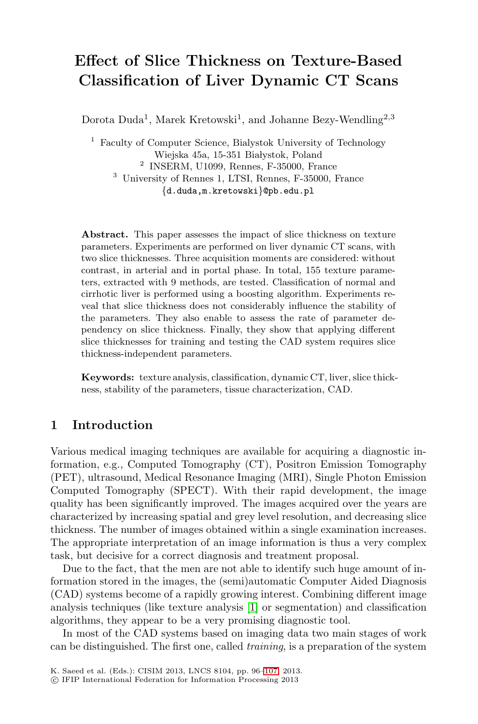# **Effect of Slice Thickness on Texture-Based Classification of Liver Dynamic CT Scans**

Dorota Duda<sup>1</sup>, Marek Kretowski<sup>1</sup>, and Johanne Bezy-Wendling<sup>2,3</sup>

<sup>1</sup> Faculty of Computer Science, Bialystok University of Technology Wiejska 45a, 15-351 Białystok, Poland <sup>2</sup> INSERM, U1099, Rennes, F-35000, France <sup>3</sup> University of Rennes 1, LTSI, Rennes, F-35000, France *{*d.duda,m.kretowski*}*@pb.edu.pl

**Abstract.** This paper assesses the impact of slice thickness on texture parameters. Experiments are performed on liver dynamic CT scans, with two slice thicknesses. Three acquisition moments are considered: without contrast, in arterial and in portal phase. In total, 155 texture parameters, extracted with 9 methods, are tested. Classification of normal and cirrhotic liver is performed using a boosting algorithm. Experiments reveal that slice thickness does not considerably influence the stability of the parameters. They also enable to assess the rate of parameter dependency on slice thickness. Finally, they show that applying different slice thicknesses for training and testing the CAD system requires slice thickness-independent parameters.

**Keywords:** texture analysis, classification, dynamic CT, liver, slice thickness, stability of the parameters, tissue characterization, CAD.

# **1 Introduction**

Various medical imaging techniques are available for acquiring a diagnostic information, e.g., Computed Tomography (CT), Positron Emission Tomography (PET), ultrasound, Medical Resonance Imaging (MRI), Single Photon Emission Computed Tomography (SPECT). With their rapid development, the image quality has been signific[an](#page-11-0)tly improved. The images acquired over the years are characterized by increasing spatial and grey level resolution, and decreasing slice thickness. The number of images obtained within a single examination increases. The appropriate interpretation of an image information is thus a very complex task, but decisive for a correct diagnosis and treatment proposal.

Due to the fact, that the [me](#page-11-1)n are not able to identify such huge amount of information stored in the images, the (semi)automatic Computer Aided Diagnosis (CAD) systems become of a rapidly growing interest. Combining different image analysis techniques (like texture analysis [1] or segmentation) and classification algorithms, they appear to be a very promising diagnostic tool.

In most of the CAD systems based on imaging data two main stages of work can be distinguished. The first one, called *training*, is a preparation of the system

K. Saeed et al. (Eds.): CISIM 2013, LNCS 8104, pp. 96–107, 2013.

<sup>-</sup>c IFIP International Federation for Information Processing 2013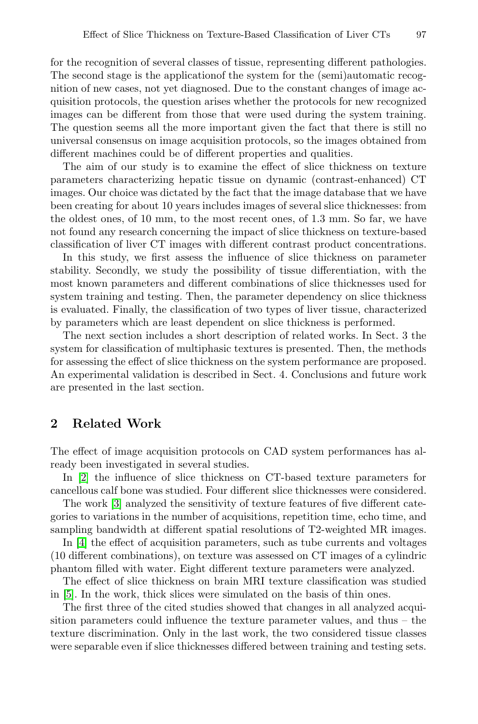for the recognition of several classes of tissue, representing different pathologies. The second stage is the applicationof the system for the (semi)automatic recognition of new cases, not yet diagnosed. Due to the constant changes of image acquisition protocols, the question arises whether the protocols for new recognized images can be different from those that were used during the system training. The question seems all the more important given the fact that there is still no universal consensus on image acquisition protocols, so the images obtained from different machines could be of different properties and qualities.

The aim of our study is to examine the effect of slice thickness on texture parameters characterizing hepatic tissue on dynamic (contrast-enhanced) CT images. Our choice was dictated by the fact that the image database that we have been creating for about 10 years includes images of several slice thicknesses: from the oldest ones, of 10 mm, to the most recent ones, of 1.3 mm. So far, we have not found any research concerning the impact of slice thickness on texture-based classification of liver CT images with different contrast product concentrations.

In this study, we first assess the influence of slice thickness on parameter stability. Secondly, we study the possibility of tissue differentiation, with the most known parameters and different combinations of slice thicknesses used for system training and testing. Then, the parameter dependency on slice thickness is evaluated. Finally, the classification of two types of liver tissue, characterized by parameters which are least dependent on slice thickness is performed.

The next section includes a short description of related works. In Sect. 3 the system for classification of multiphasic textures is presented. Then, the methods for assessing the effect of slice thickness on the system performance are proposed. An experimental validation is described in Sect. 4. Conclusions and future work are presented in the last section.

# **2 Related Work**

The effect of image acquisition protocols on CAD system performances has already been investigated in several studies.

In [2] the influence of slice thickness on CT-based texture parameters for cancellous calf bone was studied. Four different slice thicknesses were considered.

The work [3] analyzed the sensitivity of texture features of five different categories to variations in the number of acquisitions, repetition time, echo time, and sampling bandwidth at different spatial resolutions of T2-weighted MR images.

In [4] the effect of acquisition parameters, such as tube currents and voltages (10 different combinations), on texture was assessed on CT images of a cylindric phantom filled with water. Eight different texture parameters were analyzed.

The effect of slice thickness on brain MRI texture classification was studied in [5]. In the work, thick slices were simulated on the basis of thin ones.

The first three of the cited studies showed that changes in all analyzed acquisition parameters could influence the texture parameter values, and thus – the texture discrimination. Only in the last work, the two considered tissue classes were separable even if slice thicknesses differed between training and testing sets.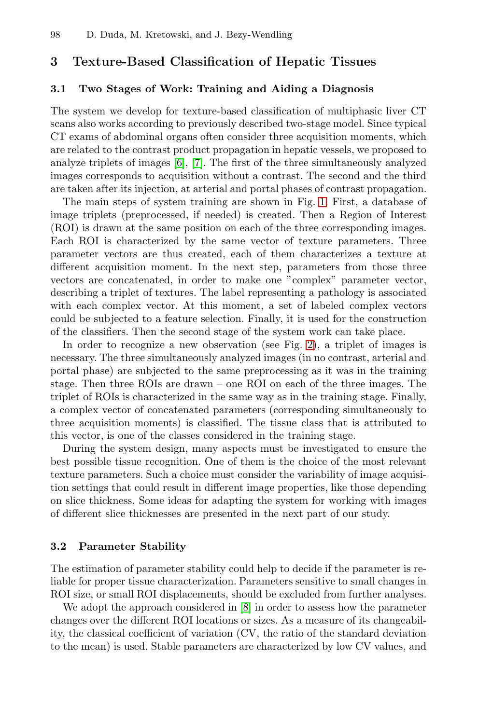# **3 Te[xt](#page-11-2)[ure](#page-11-3)-Based Classification of Hepatic Tissues**

### **3.1 Two Stages of Work: Training and Aiding a Diagnosis**

The system we develop for texture-ba[sed](#page-3-0) classification of multiphasic liver CT scans also works according to previously described two-stage model. Since typical CT exams of abdominal organs often consider three acquisition moments, which are related to the contrast product propagation in hepatic vessels, we proposed to analyze triplets of images [6], [7]. The first of the three simultaneously analyzed images corresponds to acquisition without a contrast. The second and the third are taken after its injection, at arterial and portal phases of contrast propagation.

The main steps of system training are shown in Fig. 1. First, a database of image triplets (preprocessed, if needed) is created. Then a Region of Interest (ROI) is drawn at the same position on each of the three corresponding images. Each ROI is characterized by the [sa](#page-3-1)me vector of texture parameters. Three parameter vectors are thus created, each of them characterizes a texture at different acquisition moment. In the next step, parameters from those three vectors are concatenated, in order to make one "complex" parameter vector, describing a triplet of textures. The label representing a pathology is associated with each complex vector. At this moment, a set of labeled complex vectors could be subjected to a feature selection. Finally, it is used for the construction of the classifiers. Then the second stage of the system work can take place.

In order to recognize a new observation (see Fig. 2), a triplet of images is necessary. The three simultaneously analyzed images (in no contrast, arterial and portal phase) are subjected to the same preprocessing as it was in the training stage. Then three ROIs are drawn – one ROI on each of the three images. The triplet of ROIs is characterized in the same way as in the training stage. Finally, a complex vector of concatenated parameters (corresponding simultaneously to three acquisition moments) is classified. The tissue class that is attributed to this vector, is one of the classes considered in the training stage.

During the system design, many aspects must be investigated to ensure the best possible tissue recognition. One of them is the choice of the most relevant texture parameters. Such a choice must consider the variability of image acquisition settings that could result in different image properties, like those depending on slice thickness. Some ideas for adapting the system for working with images of different slice thick[nes](#page-11-4)ses are presented in the next part of our study.

### **3.2 Parameter Stability**

The estimation of parameter stability could help to decide if the parameter is reliable for proper tissue characterization. Parameters sensitive to small changes in ROI size, or small ROI displacements, should be excluded from further analyses.

We adopt the approach considered in [8] in order to assess how the parameter changes over the different ROI locations or sizes. As a measure of its changeability, the classical coefficient of variation (CV, the ratio of the standard deviation to the mean) is used. Stable parameters are characterized by low CV values, and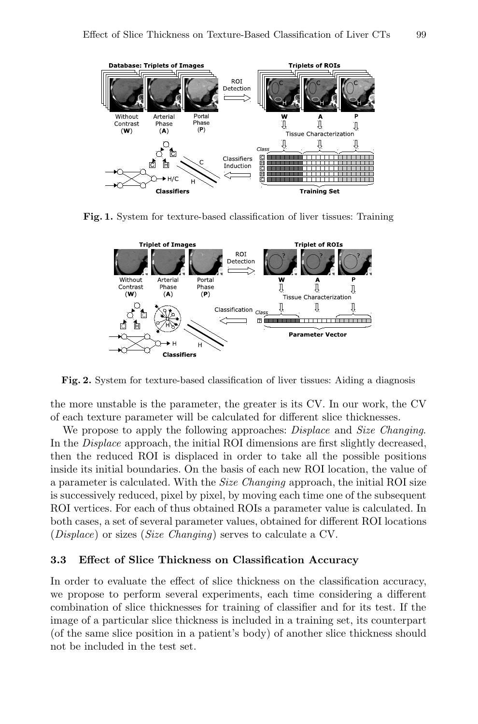<span id="page-3-0"></span>

**Fig. 1.** System for texture-based classification of liver tissues: Training

<span id="page-3-1"></span>

**Fig. 2.** System for texture-based classification of liver tissues: Aiding a diagnosis

the more unstable is the parameter, the greater is its CV. In our work, the CV of each texture parameter will be calculated for different slice thicknesses.

We propose to apply the following approaches: *Displace* and *Size Changing*. In the *Displace* approach, the initial ROI dimensions are first slightly decreased, then the reduced ROI is displaced in order to take all the possible positions inside its initial boundaries. On the basis of each new ROI location, the value of a parameter is calculated. With the *Size Changing* approach, the initial ROI size is successively reduced, pixel by pixel, by moving each time one of the subsequent ROI vertices. For each of thus obtained ROIs a parameter value is calculated. In both cases, a set of several parameter values, obtained for different ROI locations (*Displace*) or sizes (*Size Changing*) serves to calculate a CV.

#### **3.3 Effect of Slice Thickness on Classification Accuracy**

In order to evaluate the effect of slice thickness on the classification accuracy, we propose to perform several experiments, each time considering a different combination of slice thicknesses for training of classifier and for its test. If the image of a particular slice thickness is included in a training set, its counterpart (of the same slice position in a patient's body) of another slice thickness should not be included in the test set.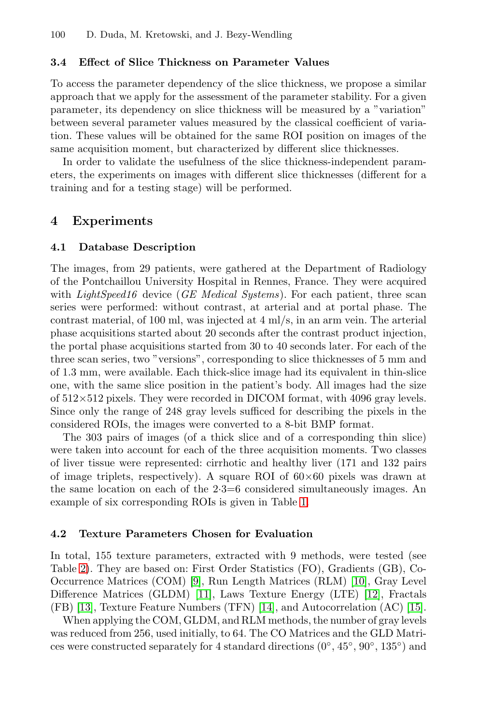#### 100 D. Duda, M. Kretowski, and J. Bezy-Wendling

#### **3.4 Effect of Slice Thickness on Parameter Values**

To access the parameter dependency of the slice thickness, we propose a similar approach that we apply for the assessment of the parameter stability. For a given parameter, its dependency on slice thickness will be measured by a "variation" between several parameter values measured by the classical coefficient of variation. These values will be obtained for the same ROI position on images of the same acquisition moment, but characterized by different slice thicknesses.

In order to validate the usefulness of the slice thickness-independent parameters, the experiments on images with different slice thicknesses (different for a training and for a testing stage) will be performed.

### **4 Experiments**

#### **4.1 Database Description**

The images, from 29 patients, were gathered at the Department of Radiology of the Pontchaillou University Hospital in Rennes, France. They were acquired with *LightSpeed16* device (*GE Medical Systems*). For each patient, three scan series were performed: without contrast, at arterial and at portal phase. The contrast material, of 100 ml, was injected at 4 ml/s, in an arm vein. The arterial phase acquisitions started about 20 seconds after the contrast product injection, the portal phase acquisitions started from 30 to 40 seconds later. For each of the three scan series, two "versions", corresponding to slice thicknesses of 5 mm and of 1.3 mm, were available. Each thick-slice image had its equivalent in thin-slice one, with the same slice position in the patient's body. All images had the size of 512*×*512 pixels. They were recor[de](#page-5-0)d in DICOM format, with 4096 gray levels. Since only the range of 248 gray levels sufficed for describing the pixels in the considered ROIs, the images were converted to a 8-bit BMP format.

The 303 pairs of images (of a thick slice and of a corresponding thin slice) were taken into account for each of the three acquisition moments. Two classes of liver tissue were represented: cirrhotic and healthy liver (171 and 132 pairs of image tr[ipl](#page-11-5)ets, respectively). A square R[OI o](#page-11-6)f 60*×*60 pixels was drawn at the same loc[atio](#page-11-7)n on each of the 2*·*3=6 conside[red](#page-11-8) simultaneously images. An example of six correspond[ing](#page-11-9) ROIs is given in Table 1.

#### **4.2 Texture Parameters Chosen for Evaluation**

In total, 155 texture parameters, extracted with 9 methods, were tested (see Table 2). They are based on: First Order Statistics (FO), Gradients (GB), Co-Occurrence Matrices (COM) [9], Run Length Matrices (RLM) [10], Gray Level Difference Matrices (GLDM) [11], Laws Texture Energy (LTE) [12], Fractals (FB) [13], Texture Feature Numbers (TFN) [14], and Autocorrelation (AC) [15].

When applying the COM, GLDM, and RLM methods, the number of gray levels was reduced from 256, used initially, to 64. The CO Matrices and the GLD Matrices were constructed separately for 4 standard directions (0◦, 45◦, 90◦, 135◦) and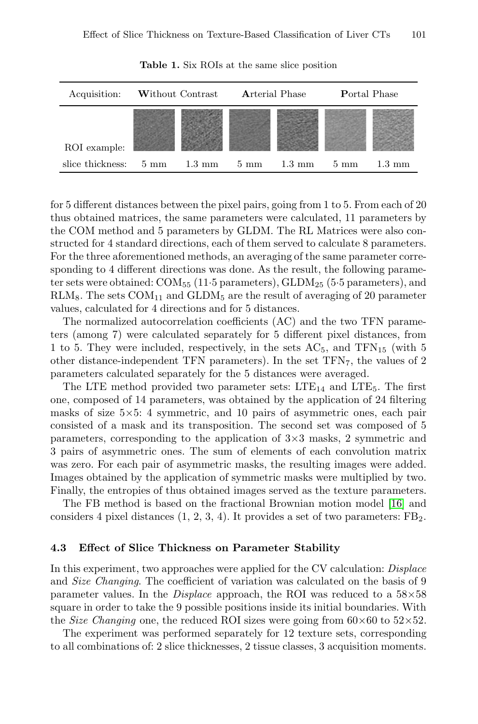

<span id="page-5-0"></span>**Table 1.** Six ROIs at the same slice position

for 5 different distances between the pixel pairs, going from 1 to 5. From each of 20 thus obtained matrices, the same parameters were calculated, 11 parameters by the COM method and 5 parameters by GLDM. The RL Matrices were also constructed for 4 standard directions, each of them served to calculate 8 parameters. For the three aforementioned methods, an averaging of the same parameter corresponding to 4 different directions was done. As the result, the following parameter sets were obtained: COM<sup>55</sup> (11*·*5 parameters), GLDM<sup>25</sup> (5*·*5 parameters), and  $RLM_8$ . The sets  $COM_{11}$  and  $GLDM_5$  are the result of averaging of 20 parameter values, calculated for 4 directions and for 5 distances.

The normalized autocorrelation coefficients (AC) and the two TFN parameters (among 7) were calculated separately for 5 different pixel distances, from 1 to 5. They were included, respectively, in the sets  $AC_5$ , and  $TFN_{15}$  (with 5 other distance-independent TFN parameters). In the set  $TFN<sub>7</sub>$ , the values of 2 parameters calculated separately for the 5 distances were averaged.

The LTE method provided two parameter sets:  $LTE_{14}$  and  $LTE_{5}$ . The first one, composed of 14 parameters, was obtained by the [ap](#page-11-10)plication of 24 filtering masks of size 5*×*5: 4 symmetric, and 10 pairs of asymmetric ones, each pair consisted of a mask and its transposition. The second set was composed of 5 parameters, corresponding to the application of 3*×*3 masks, 2 symmetric and 3 pairs of asymmetric ones. The sum of elements of each convolution matrix was zero. For each pair of asymmetric masks, the resulting images were added. Images obtained by the application of symmetric masks were multiplied by two. Finally, the entropies of thus obtained images served as the texture parameters.

The FB method is based on the fractional Brownian motion model [16] and considers 4 pixel distances  $(1, 2, 3, 4)$ . It provides a set of two parameters:  $FB<sub>2</sub>$ .

### **4.3 Effect of Slice Thickness on Parameter Stability**

In this experiment, two approaches were applied for the CV calculation: *Displace* and *Size Changing*. The coefficient of variation was calculated on the basis of 9 parameter values. In the *Displace* approach, the ROI was reduced to a 58*×*58 square in order to take the 9 possible positions inside its initial boundaries. With the *Size Changing* one, the reduced ROI sizes were going from 60*×*60 to 52*×*52.

The experiment was performed separately for 12 texture sets, corresponding to all combinations of: 2 slice thicknesses, 2 tissue classes, 3 acquisition moments.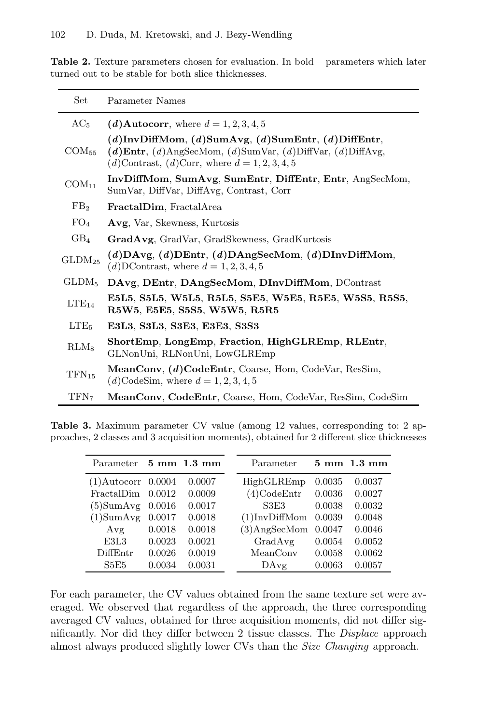<span id="page-6-0"></span>**Table 2.** Texture parameters chosen for evaluation. In bold – parameters which later turned out to be stable for both slice thicknesses.

| Set                  | Parameter Names                                                                                                                                                                                     |
|----------------------|-----------------------------------------------------------------------------------------------------------------------------------------------------------------------------------------------------|
| AC <sub>5</sub>      | $(d)$ Autocorr, where $d = 1, 2, 3, 4, 5$                                                                                                                                                           |
| $COM_{55}$           | $(d)$ InvDiffMom, $(d)$ SumAvg, $(d)$ SumEntr, $(d)$ DiffEntr,<br>$(d)$ Entr, $(d)$ AngSecMom, $(d)$ SumVar, $(d)$ DiffVar, $(d)$ DiffAvg,<br>$(d)$ Contrast, $(d)$ Corr, where $d = 1, 2, 3, 4, 5$ |
| $COM_{11}$           | InvDiffMom, SumAvg, SumEntr, DiffEntr, Entr, AngSecMom,<br>SumVar, DiffVar, DiffAvg, Contrast, Corr                                                                                                 |
| FB <sub>2</sub>      | <b>FractalDim, FractalArea</b>                                                                                                                                                                      |
| FO <sub>4</sub>      | Avg, Var, Skewness, Kurtosis                                                                                                                                                                        |
| GB <sub>4</sub>      | GradAvg, GradVar, GradSkewness, GradKurtosis                                                                                                                                                        |
| $\mathrm{GLDM}_{25}$ | $(d)$ DAvg, $(d)$ DEntr, $(d)$ DAngSecMom, $(d)$ DInvDiffMom,<br>$(d)$ DContrast, where $d = 1, 2, 3, 4, 5$                                                                                         |
| GLDM <sub>5</sub>    | DAvg, DEntr, DAngSecMom, DInvDiffMom, DContrast                                                                                                                                                     |
| $LTE_{14}$           | E5L5, S5L5, W5L5, R5L5, S5E5, W5E5, R5E5, W5S5, R5S5,<br>R5W5, E5E5, S5S5, W5W5, R5R5                                                                                                               |
| LTE <sub>5</sub>     | E3L3, S3L3, S3E3, E3E3, S3S3                                                                                                                                                                        |
| $RLM_8$              | ShortEmp, LongEmp, Fraction, HighGLREmp, RLEntr,<br>GLNonUni, RLNonUni, LowGLREmp                                                                                                                   |
| $TFN_{15}$           | MeanConv, (d)CodeEntr, Coarse, Hom, CodeVar, ResSim,<br>$(d)$ CodeSim, where $d = 1, 2, 3, 4, 5$                                                                                                    |
| TFN <sub>7</sub>     | MeanConv, CodeEntr, Coarse, Hom, CodeVar, ResSim, CodeSim                                                                                                                                           |

**Table 3.** Maximum parameter CV value (among 12 values, corresponding to: 2 approaches, 2 classes and 3 acquisition moments), obtained for 2 different slice thicknesses

| Parameter              |        | $5 \text{ mm}$ $1.3 \text{ mm}$ |  | Parameter        |        | $5 \text{ mm}$ $1.3 \text{ mm}$ |
|------------------------|--------|---------------------------------|--|------------------|--------|---------------------------------|
| $(1)$ Autocorr 0.0004  |        | 0.0007                          |  | HighGLREmp       | 0.0035 | 0.0037                          |
| FractalDim             | 0.0012 | 0.0009                          |  | $(4)$ CodeEntr   | 0.0036 | 0.0027                          |
| $(5)$ Sum $Avg$ 0.0016 |        | 0.0017                          |  | S3E3             | 0.0038 | 0.0032                          |
| $(1)$ Sum $Avg$        | 0.0017 | 0.0018                          |  | $(1)$ InvDiffMom | 0.0039 | 0.0048                          |
| Avg                    | 0.0018 | 0.0018                          |  | $(3)$ AngSecMom  | 0.0047 | 0.0046                          |
| E3L3                   | 0.0023 | 0.0021                          |  | GradAvg          | 0.0054 | 0.0052                          |
| DiffEntr               | 0.0026 | 0.0019                          |  | MeanConv         | 0.0058 | 0.0062                          |
| SE5                    | 0.0034 | 0.0031                          |  | $\mathrm{DA}$ vg | 0.0063 | 0.0057                          |

For each parameter, the CV values obtained from the same texture set were averaged. We observed that regardless of the approach, the three corresponding averaged CV values, obtained for three acquisition moments, did not differ significantly. Nor did they differ between 2 tissue classes. The *Displace* approach almost always produced slightly lower CVs than the *Size Changing* approach.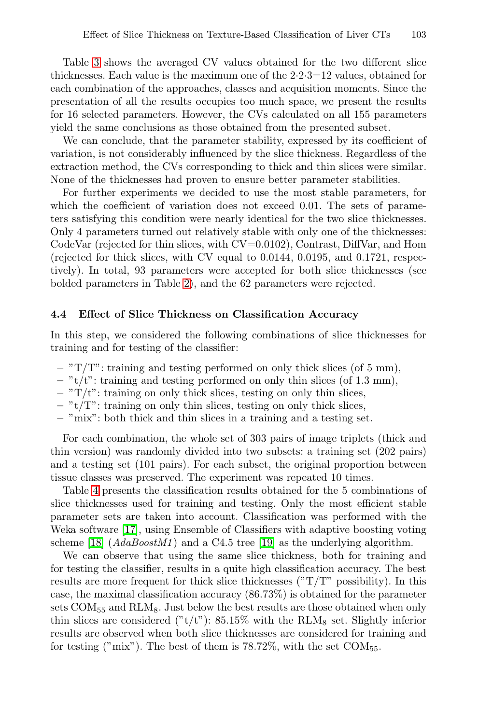Table 3 shows the averaged CV values obtained for the two different slice thicknesses. Each value is the maximum one of the 2*·*2*·*3=12 values, obtained for each combination of the approaches, classes and acquisition moments. Since the presentation of all the results occupies too much space, we present the results for 16 selected parameters. However, the CVs calculated on all 155 parameters yield the same conclusions as those obtained from the presented subset.

We can conclude, that the parameter stability, expressed by its coefficient of variation, is not considerably influenced by the slice thickness. Regardless of the extraction method, the CVs corresponding to thick and thin slices were similar. None of t[he](#page-6-0) thicknesses had proven to ensure better parameter stabilities.

For further experiments we decided to use the most stable parameters, for which the coefficient of variation does not exceed 0.01. The sets of parameters satisfying this condition were nearly identical for the two slice thicknesses. Only 4 parameters turned out relatively stable with only one of the thicknesses: CodeVar (rejected for thin slices, with CV=0.0102), Contrast, DiffVar, and Hom (rejected for thick slices, with CV equal to 0.0144, 0.0195, and 0.1721, respectively). In total, 93 parameters were accepted for both slice thicknesses (see bolded parameters in Table 2), and the 62 parameters were rejected.

#### **4.4 Effect of Slice Thickness on Classification Accuracy**

In this step, we considered the following combinations of slice thicknesses for training and for testing of the classifier:

- **–** "T/T": training and testing performed on only thick slices (of 5 mm),
- **–** "t/t": training and testing performed on only thin slices (of 1.3 mm),
- **–** "T/t": training on only thick slices, testing on only thin slices,
- **–** "t/T": training on only thin slices, testing on only thick slices,
- **–** "mix": both thick and thin slices in a training and a testing set.

For each combination, t[he](#page-11-11) whole set of 303 pairs of image triplets (thick and thin version) was randomly divided into two subsets: a training set (202 pairs) and a testing set (101 pairs). For each subset, the original proportion between tissue classes was preserved. The experiment was repeated 10 times.

Table 4 presents the classification results obtained for the 5 combinations of slice thicknesses used for training and testing. Only the most efficient stable parameter sets are taken into account. Classification was performed with the Weka software [17], using Ensemble of Classifiers with adaptive boosting voting scheme [18] (*AdaBoostM1*) and a C4.5 tree [19] as the underlying algorithm.

We can observe that using the same slice thickness, both for training and for testing the classifier, results in a quite high classification accuracy. The best results are more frequent for thick slice thicknesses ("T/T" possibility). In this case, the maximal classification accuracy (86.73%) is obtained for the parameter sets COM<sub>55</sub> and RLM<sub>8</sub>. Just below the best results are those obtained when only thin slices are considered (" $t/t$ "): 85.15% with the RLM<sub>8</sub> set. Slightly inferior results are observed when both slice thicknesses are considered for training and for testing ("mix"). The best of them is  $78.72\%$ , with the set  $COM_{55}$ .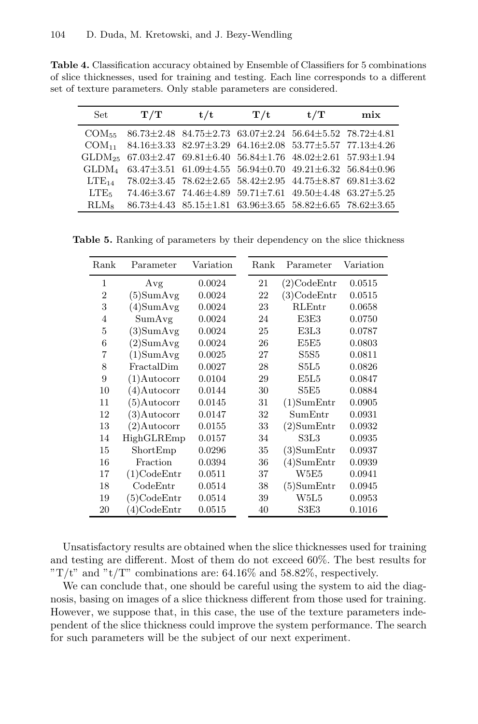<span id="page-8-0"></span>

| Set                | $\mathbf{T}/\mathbf{T}$                                                              | t/t | $\mathbf{T}/\mathbf{t}$                                                              | t/T | mix |
|--------------------|--------------------------------------------------------------------------------------|-----|--------------------------------------------------------------------------------------|-----|-----|
| $COM_{55}$         | $86.73 \pm 2.48$ $84.75 \pm 2.73$ $63.07 \pm 2.24$ $56.64 \pm 5.52$ $78.72 \pm 4.81$ |     |                                                                                      |     |     |
| $COM_{11}$         | $84.16 \pm 3.33$ $82.97 \pm 3.29$ $64.16 \pm 2.08$ $53.77 \pm 5.57$ $77.13 \pm 4.26$ |     |                                                                                      |     |     |
| GLDM <sub>25</sub> |                                                                                      |     | $67.03 \pm 2.47$ $69.81 \pm 6.40$ $56.84 \pm 1.76$ $48.02 \pm 2.61$ $57.93 \pm 1.94$ |     |     |
| GLDM4              |                                                                                      |     | $63.47\pm3.51$ $61.09\pm4.55$ $56.94\pm0.70$ $49.21\pm6.32$ $56.84\pm0.96$           |     |     |
| $LTE_{14}$         |                                                                                      |     | $78.02 \pm 3.45$ $78.62 \pm 2.65$ $58.42 \pm 2.95$ $44.75 \pm 8.87$ $69.81 \pm 3.62$ |     |     |
| LTE <sub>5</sub>   |                                                                                      |     | $74.46\pm3.67$ $74.46\pm4.89$ $59.71\pm7.61$ $49.50\pm4.48$ $63.27\pm5.25$           |     |     |
| $RLM_{8}$          |                                                                                      |     | $86.73 \pm 4.43$ $85.15 \pm 1.81$ $63.96 \pm 3.65$ $58.82 \pm 6.65$ $78.62 \pm 3.65$ |     |     |

**Table 4.** Classification accuracy obtained by Ensemble of Classifiers for 5 combinations of slice thicknesses, used for training and testing. Each line corresponds to a different set of texture parameters. Only stable parameters are considered.

**Table 5.** Ranking of parameters by their dependency on the slice thickness

| Rank           | Parameter            | Variation | Rank | Parameter               | Variation |
|----------------|----------------------|-----------|------|-------------------------|-----------|
| 1              | Avg                  | 0.0024    | 21   | $(2)$ CodeEntr          | 0.0515    |
| $\overline{2}$ | (5)SumAvg            | 0.0024    | 22   | $(3)$ CodeEntr          | 0.0515    |
| 3              | (4)SumAvg            | 0.0024    | 23   | RLEntr                  | 0.0658    |
| 4              | SumAvg               | 0.0024    | 24   | E3E3                    | 0.0750    |
| 5              | (3)SumAvg            | 0.0024    | 25   | E3L3                    | 0.0787    |
| 6              | (2)SumAvg            | 0.0024    | 26   | E5E5                    | 0.0803    |
| 7              | (1)SumAvg            | 0.0025    | 27   | S5S5                    | 0.0811    |
| 8              | FractalDim           | 0.0027    | 28   | S5L5                    | 0.0826    |
| 9              | $(1)$ Autocorr       | 0.0104    | 29   | E5L5                    | 0.0847    |
| 10             | $(4)$ Autocorr       | 0.0144    | 30   | S5E5                    | 0.0884    |
| 11             | $(5)$ Autocorr       | 0.0145    | 31   | (1) SumE <sub>ntr</sub> | 0.0905    |
| 12             | (3)Autocorr          | 0.0147    | 32   | SumEntr                 | 0.0931    |
| 13             | $(2)$ Autocorr       | 0.0155    | 33   | (2)SumEntr              | 0.0932    |
| 14             | HighGLREmp           | 0.0157    | 34   | S3L3                    | 0.0935    |
| 15             | ShortEmp             | 0.0296    | 35   | (3) SumE <sub>ntr</sub> | 0.0937    |
| 16             | Fraction             | 0.0394    | 36   | (4) SumE <sub>ntr</sub> | 0.0939    |
| 17             | $(1)$ CodeEntr       | 0.0511    | 37   | W5E5                    | 0.0941    |
| 18             | $\mathrm{CodeEntry}$ | 0.0514    | 38   | $(5)$ SumEntr           | 0.0945    |
| 19             | $(5)$ CodeEntr       | 0.0514    | 39   | $\rm W5L5$              | 0.0953    |
| 20             | $(4)$ CodeEntr       | 0.0515    | 40   | S3E3                    | 0.1016    |

Unsatisfactory results are obtained when the slice thicknesses used for training and testing are different. Most of them do not exceed 60%. The best results for "T/t" and "t/T" combinations are:  $64.16\%$  and  $58.82\%$ , respectively.

We can conclude that, one should be careful using the system to aid the diagnosis, basing on images of a slice thickness different from those used for training. However, we suppose that, in this case, the use of the texture parameters independent of the slice thickness could improve the system performance. The search for such parameters will be the subject of our next experiment.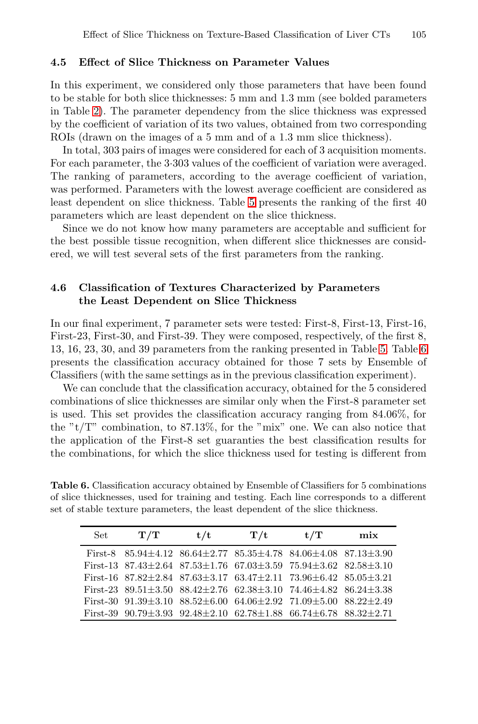### **4.5 Effect of Slice Thickness on Parameter Values**

In this experiment, we considered only those parameters that have been found to be stable for both sli[ce](#page-8-0) thicknesses: 5 mm and 1.3 mm (see bolded parameters in Table 2). The parameter dependency from the slice thickness was expressed by the coefficient of variation of its two values, obtained from two corresponding ROIs (drawn on the images of a 5 mm and of a 1.3 mm slice thickness).

In total, 303 pairs of images were considered for each of 3 acquisition moments. For each parameter, the 3*·*303 values of the coefficient of variation were averaged. The ranking of parameters, according to the average coefficient of variation, was performed. Parameters with the lowest average coefficient are considered as least dependent on slice thickness. Table 5 presents the ranking of the first 40 parameters which are least dependent on the slice thickness.

Since we do not know how many parameters are acceptable and sufficient for the best possible tissue recognition, when different slice thicknesses are considered, we will test several sets of the first parameter[s](#page-8-0) [f](#page-8-0)rom t[he](#page-9-0) ranking.

## <span id="page-9-0"></span>**4.6 Classification of Textures Characterized by Parameters the Least Dependent on Slice Thickness**

In our final experiment, 7 parameter sets were tested: First-8, First-13, First-16, First-23, First-30, and First-39. They were composed, respectively, of the first 8, 13, 16, 23, 30, and 39 parameters from the ranking presented in Table 5. Table 6 presents the classification accuracy obtained for those 7 sets by Ensemble of Classifiers (with the same settings as in the previous classification experiment).

We can conclude that the classification accuracy, obtained for the 5 considered combinations of slice thicknesses are similar only when the First-8 parameter set is used. This set provides the classification accuracy ranging from 84.06%, for the " $t/T$ " combination, to 87.13%, for the "mix" one. We can also notice that the application of the First-8 set guaranties the best classification results for the combinations, for which the slice thickness used for testing is different from

**Table 6.** Classification accuracy obtained by Ensemble of Classifiers for 5 combinations of slice thicknesses, used for training and testing. Each line corresponds to a different set of stable texture parameters, the least dependent of the slice thickness.

| Set | $\rm T/T$ | t/t                                                                                           | $\rm T/t$ | $\mathrm{t}/\mathrm{T}$ | mix |
|-----|-----------|-----------------------------------------------------------------------------------------------|-----------|-------------------------|-----|
|     |           | First-8 $85.94 \pm 4.12$ $86.64 \pm 2.77$ $85.35 \pm 4.78$ $84.06 \pm 4.08$ $87.13 \pm 3.90$  |           |                         |     |
|     |           | First-13 $87.43 \pm 2.64$ $87.53 \pm 1.76$ $67.03 \pm 3.59$ $75.94 \pm 3.62$ $82.58 \pm 3.10$ |           |                         |     |
|     |           | First-16 $87.82 \pm 2.84$ $87.63 \pm 3.17$ $63.47 \pm 2.11$ $73.96 \pm 6.42$ $85.05 \pm 3.21$ |           |                         |     |
|     |           | First-23 $89.51 \pm 3.50$ $88.42 \pm 2.76$ $62.38 \pm 3.10$ $74.46 \pm 4.82$ $86.24 \pm 3.38$ |           |                         |     |
|     |           | First-30 $91.39 \pm 3.10$ $88.52 \pm 6.00$ $64.06 \pm 2.92$ $71.09 \pm 5.00$ $88.22 \pm 2.49$ |           |                         |     |
|     |           | First-39 90.79 $\pm$ 3.93 92.48 $\pm$ 2.10 62.78 $\pm$ 1.88 66.74 $\pm$ 6.78 88.32 $\pm$ 2.71 |           |                         |     |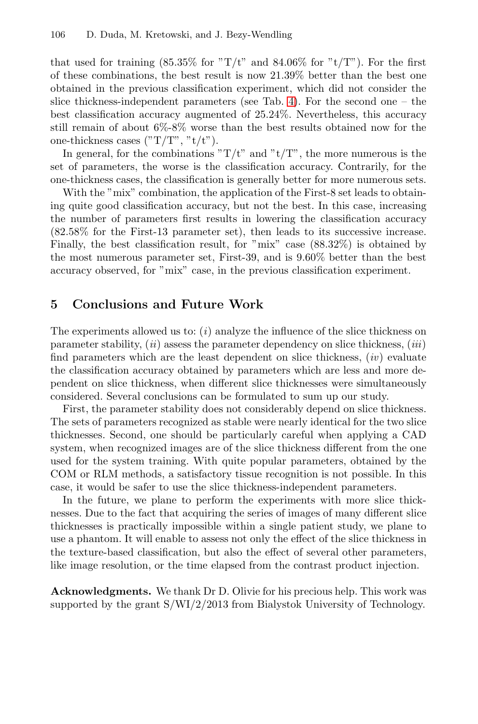#### 106 D. Duda, M. Kretowski, and J. Bezy-Wendling

that used for training  $(85.35\% \text{ for } T/t$ " and  $84.06\% \text{ for } "t/T"$ ). For the first of these combinations, the best result is now 21.39% better than the best one obtained in the previous classification experiment, which did not consider the slice thickness-independent parameters (see Tab. 4). For the second one – the best classification accuracy augmented of 25.24%. Nevertheless, this accuracy still remain of about 6%-8% worse than the best results obtained now for the one-thickness cases  $("T/T", "t/t").$ 

In general, for the combinations " $T/t$ " and " $t/T$ ", the more numerous is the set of parameters, the worse is the classification accuracy. Contrarily, for the one-thickness cases, the classification is generally better for more numerous sets.

With the "mix" combination, the application of the First-8 set leads to obtaining quite good classification accuracy, but not the best. In this case, increasing the number of parameters first results in lowering the classification accuracy (82.58% for the First-13 parameter set), then leads to its successive increase. Finally, the best classification result, for "mix" case (88.32%) is obtained by the most numerous parameter set, First-39, and is 9.60% better than the best accuracy observed, for "mix" case, in the previous classification experiment.

# **5 Conclusions and Future Work**

The experiments allowed us to: (*i*) analyze the influence of the slice thickness on parameter stability, (*ii*) assess the parameter dependency on slice thickness, (*iii*) find parameters which are the least dependent on slice thickness, (*iv*) evaluate the classification accuracy obtained by parameters which are less and more dependent on slice thickness, when different slice thicknesses were simultaneously considered. Several conclusions can be formulated to sum up our study.

First, the parameter stability does not considerably depend on slice thickness. The sets of parameters recognized as stable were nearly identical for the two slice thicknesses. Second, one should be particularly careful when applying a CAD system, when recognized images are of the slice thickness different from the one used for the system training. With quite popular parameters, obtained by the COM or RLM methods, a satisfactory tissue recognition is not possible. In this case, it would be safer to use the slice thickness-independent parameters.

In the future, we plane to perform the experiments with more slice thicknesses. Due to the fact that acquiring the series of images of many different slice thicknesses is practically impossible within a single patient study, we plane to use a phantom. It will enable to assess not only the effect of the slice thickness in the texture-based classification, but also the effect of several other parameters, like image resolution, or the time elapsed from the contrast product injection.

**Acknowledgments.** We thank Dr D. Olivie for his precious help. This work was supported by the grant S/WI/2/2013 from Bialystok University of Technology.